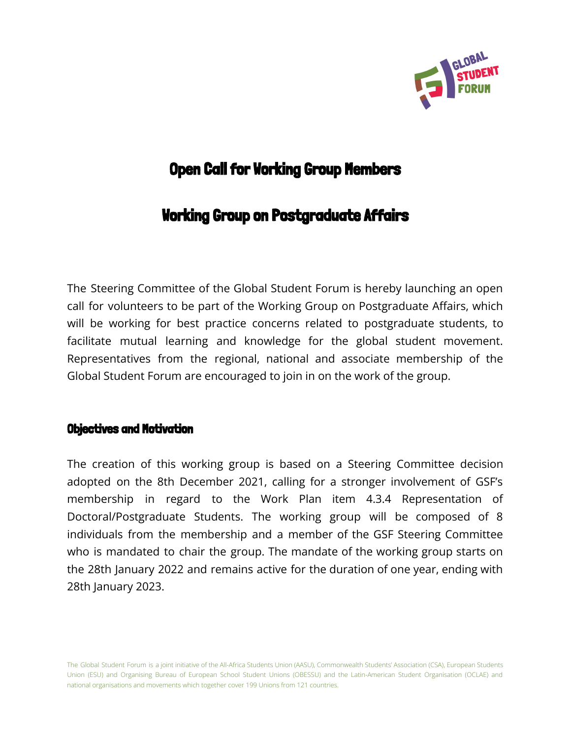

# **Open Call for Working Group Members**

# Working Group on Postgraduate Affairs

The Steering Committee of the Global Student Forum is hereby launching an open call for volunteers to be part of the Working Group on Postgraduate Affairs, which will be working for best practice concerns related to postgraduate students, to facilitate mutual learning and knowledge for the global student movement. Representatives from the regional, national and associate membership of the Global Student Forum are encouraged to join in on the work of the group.

#### Objectives and Motivation

The creation of this working group is based on a Steering Committee decision adopted on the 8th December 2021, calling for a stronger involvement of GSF's membership in regard to the Work Plan item 4.3.4 Representation of Doctoral/Postgraduate Students. The working group will be composed of 8 individuals from the membership and a member of the GSF Steering Committee who is mandated to chair the group. The mandate of the working group starts on the 28th January 2022 and remains active for the duration of one year, ending with 28th January 2023.

The Global Student Forum is a joint initiative of the All-Africa Students Union (AASU), Commonwealth Students' Association (CSA), European Students Union (ESU) and Organising Bureau of European School Student Unions (OBESSU) and the Latin-American Student Organisation (OCLAE) and national organisations and movements which together cover 199 Unions from 121 countries.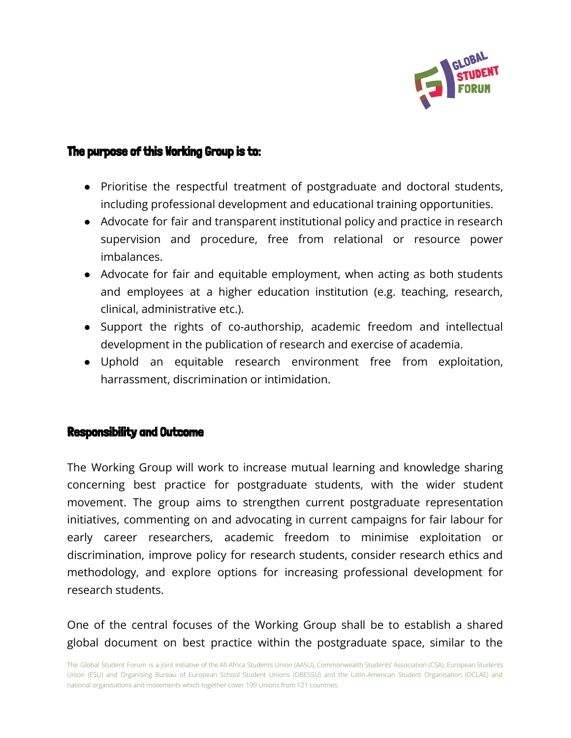

## The purpose of this Working Group is to:

- Prioritise the respectful treatment of postgraduate and doctoral students, including professional development and educational training opportunities.
- Advocate for fair and transparent institutional policy and practice in research supervision and procedure, free from relational or resource power imbalances.
- Advocate for fair and equitable employment, when acting as both students and employees at a higher education institution (e.g. teaching, research, clinical, administrative etc.).
- Support the rights of co-authorship, academic freedom and intellectual development in the publication of research and exercise of academia.
- Uphold an equitable research environment free from exploitation, harrassment, discrimination or intimidation.

#### Responsibility and Outcome

The Working Group will work to increase mutual learning and knowledge sharing concerning best practice for postgraduate students, with the wider student movement. The group aims to strengthen current postgraduate representation initiatives, commenting on and advocating in current campaigns for fair labour for early career researchers, academic freedom to minimise exploitation or discrimination, improve policy for research students, consider research ethics and methodology, and explore options for increasing professional development for research students.

One of the central focuses of the Working Group shall be to establish a shared global document on best practice within the postgraduate space, similar to the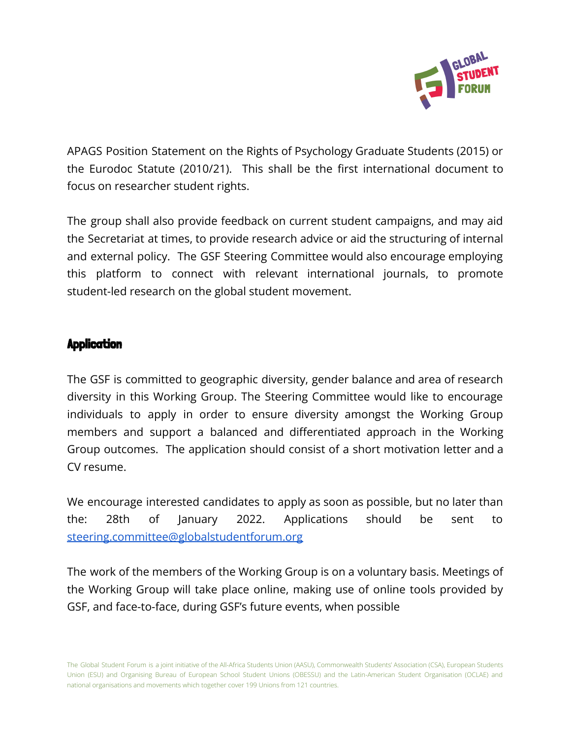

APAGS Position Statement on the Rights of Psychology Graduate Students (2015) or the Eurodoc Statute (2010/21). This shall be the first international document to focus on researcher student rights.

The group shall also provide feedback on current student campaigns, and may aid the Secretariat at times, to provide research advice or aid the structuring of internal and external policy. The GSF Steering Committee would also encourage employing this platform to connect with relevant international journals, to promote student-led research on the global student movement.

## **Application**

The GSF is committed to geographic diversity, gender balance and area of research diversity in this Working Group. The Steering Committee would like to encourage individuals to apply in order to ensure diversity amongst the Working Group members and support a balanced and differentiated approach in the Working Group outcomes. The application should consist of a short motivation letter and a CV resume.

We encourage interested candidates to apply as soon as possible, but no later than the: 28th of January 2022. Applications should be sent to [steering.committee@globalstudentforum.org](mailto:steering.committee@globalstudentforum.org)

The work of the members of the Working Group is on a voluntary basis. Meetings of the Working Group will take place online, making use of online tools provided by GSF, and face-to-face, during GSF's future events, when possible

The Global Student Forum is a joint initiative of the All-Africa Students Union (AASU), Commonwealth Students' Association (CSA), European Students Union (ESU) and Organising Bureau of European School Student Unions (OBESSU) and the Latin-American Student Organisation (OCLAE) and national organisations and movements which together cover 199 Unions from 121 countries.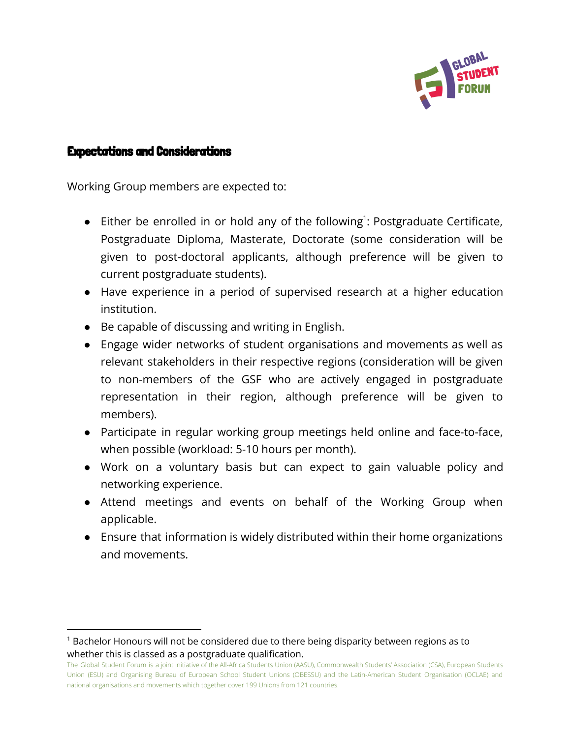

### Expectations and Considerations

Working Group members are expected to:

- Either be enrolled in or hold any of the following<sup>1</sup>: Postgraduate Certificate, Postgraduate Diploma, Masterate, Doctorate (some consideration will be given to post-doctoral applicants, although preference will be given to current postgraduate students).
- Have experience in a period of supervised research at a higher education institution.
- Be capable of discussing and writing in English.
- Engage wider networks of student organisations and movements as well as relevant stakeholders in their respective regions (consideration will be given to non-members of the GSF who are actively engaged in postgraduate representation in their region, although preference will be given to members).
- Participate in regular working group meetings held online and face-to-face, when possible (workload: 5-10 hours per month).
- Work on a voluntary basis but can expect to gain valuable policy and networking experience.
- Attend meetings and events on behalf of the Working Group when applicable.
- Ensure that information is widely distributed within their home organizations and movements.

 $<sup>1</sup>$  Bachelor Honours will not be considered due to there being disparity between regions as to</sup> whether this is classed as a postgraduate qualification.

The Global Student Forum is a joint initiative of the All-Africa Students Union (AASU), Commonwealth Students' Association (CSA), European Students Union (ESU) and Organising Bureau of European School Student Unions (OBESSU) and the Latin-American Student Organisation (OCLAE) and national organisations and movements which together cover 199 Unions from 121 countries.